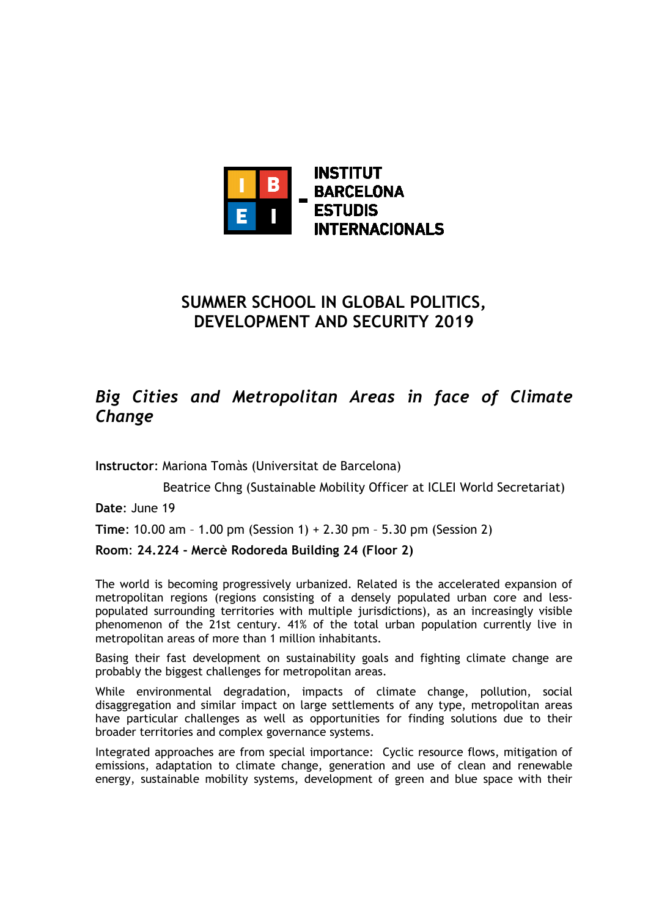

# **SUMMER SCHOOL IN GLOBAL POLITICS, DEVELOPMENT AND SECURITY 2019**

# *Big Cities and Metropolitan Areas in face of Climate Change*

**Instructor**: Mariona Tomàs (Universitat de Barcelona)

Beatrice Chng (Sustainable Mobility Officer at ICLEI World Secretariat)

**Date**: June 19

**Time**: 10.00 am – 1.00 pm (Session 1) + 2.30 pm – 5.30 pm (Session 2)

# **Room**: **24.224 - Mercè Rodoreda Building 24 (Floor 2)**

The world is becoming progressively urbanized. Related is the accelerated expansion of metropolitan regions (regions consisting of a densely populated urban core and lesspopulated surrounding territories with multiple jurisdictions), as an increasingly visible phenomenon of the 21st century. 41% of the total urban population currently live in metropolitan areas of more than 1 million inhabitants.

Basing their fast development on sustainability goals and fighting climate change are probably the biggest challenges for metropolitan areas.

While environmental degradation, impacts of climate change, pollution, social disaggregation and similar impact on large settlements of any type, metropolitan areas have particular challenges as well as opportunities for finding solutions due to their broader territories and complex governance systems.

Integrated approaches are from special importance: Cyclic resource flows, mitigation of emissions, adaptation to climate change, generation and use of clean and renewable energy, sustainable mobility systems, development of green and blue space with their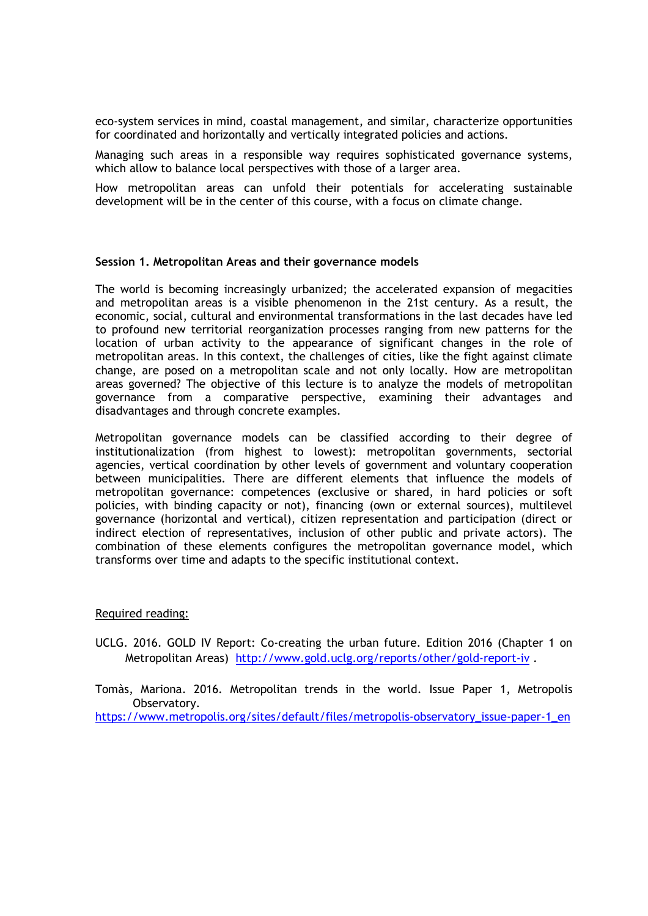eco-system services in mind, coastal management, and similar, characterize opportunities for coordinated and horizontally and vertically integrated policies and actions.

Managing such areas in a responsible way requires sophisticated governance systems, which allow to balance local perspectives with those of a larger area.

How metropolitan areas can unfold their potentials for accelerating sustainable development will be in the center of this course, with a focus on climate change.

#### **Session 1. Metropolitan Areas and their governance models**

The world is becoming increasingly urbanized; the accelerated expansion of megacities and metropolitan areas is a visible phenomenon in the 21st century. As a result, the economic, social, cultural and environmental transformations in the last decades have led to profound new territorial reorganization processes ranging from new patterns for the location of urban activity to the appearance of significant changes in the role of metropolitan areas. In this context, the challenges of cities, like the fight against climate change, are posed on a metropolitan scale and not only locally. How are metropolitan areas governed? The objective of this lecture is to analyze the models of metropolitan governance from a comparative perspective, examining their advantages and disadvantages and through concrete examples.

Metropolitan governance models can be classified according to their degree of institutionalization (from highest to lowest): metropolitan governments, sectorial agencies, vertical coordination by other levels of government and voluntary cooperation between municipalities. There are different elements that influence the models of metropolitan governance: competences (exclusive or shared, in hard policies or soft policies, with binding capacity or not), financing (own or external sources), multilevel governance (horizontal and vertical), citizen representation and participation (direct or indirect election of representatives, inclusion of other public and private actors). The combination of these elements configures the metropolitan governance model, which transforms over time and adapts to the specific institutional context.

### Required reading:

UCLG. 2016. GOLD IV Report: Co-creating the urban future. Edition 2016 (Chapter 1 on Metropolitan Areas) http://www.gold.uclg.org/reports/other/gold-report-iv .

Tomàs, Mariona. 2016. Metropolitan trends in the world. Issue Paper 1, Metropolis Observatory. https://www.metropolis.org/sites/default/files/metropolis-observatory\_issue-paper-1\_en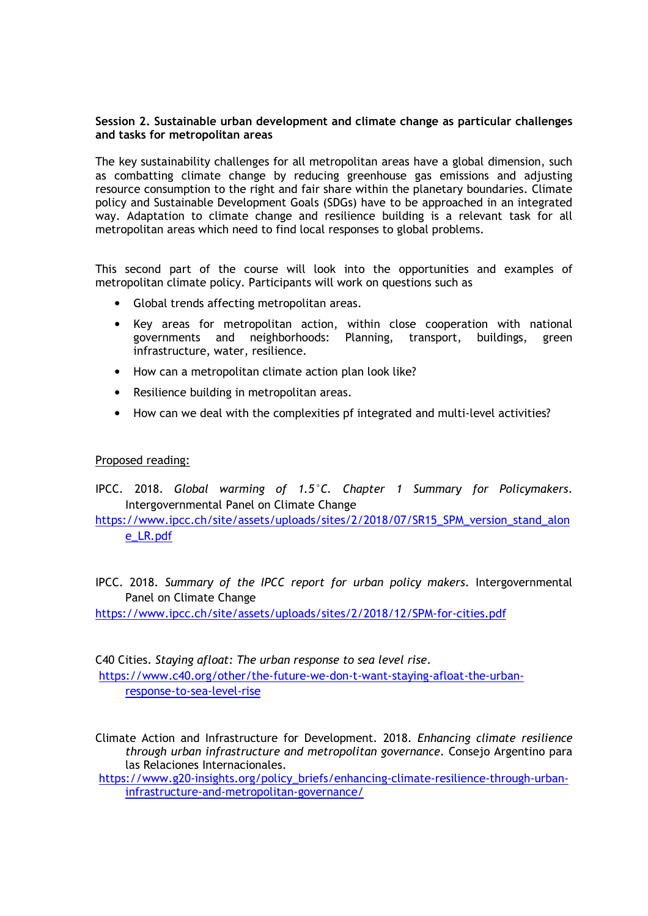## **Session 2. Sustainable urban development and climate change as particular challenges and tasks for metropolitan areas**

The key sustainability challenges for all metropolitan areas have a global dimension, such as combatting climate change by reducing greenhouse gas emissions and adjusting resource consumption to the right and fair share within the planetary boundaries. Climate policy and Sustainable Development Goals (SDGs) have to be approached in an integrated way. Adaptation to climate change and resilience building is a relevant task for all metropolitan areas which need to find local responses to global problems.

This second part of the course will look into the opportunities and examples of metropolitan climate policy. Participants will work on questions such as

- Global trends affecting metropolitan areas.
- Key areas for metropolitan action, within close cooperation with national governments and neighborhoods: Planning, transport, buildings, green infrastructure, water, resilience.
- How can a metropolitan climate action plan look like?
- Resilience building in metropolitan areas.
- How can we deal with the complexities pf integrated and multi-level activities?

### Proposed reading:

IPCC. 2018. *Global warming of 1.5°C. Chapter 1 Summary for Policymakers*. Intergovernmental Panel on Climate Change

https://www.ipcc.ch/site/assets/uploads/sites/2/2018/07/SR15\_SPM\_version\_stand\_alon e\_LR.pdf

IPCC. 2018. *Summary of the IPCC report for urban policy makers*. Intergovernmental Panel on Climate Change

https://www.ipcc.ch/site/assets/uploads/sites/2/2018/12/SPM-for-cities.pdf

C40 Cities. *Staying afloat: The urban response to sea level rise*. https://www.c40.org/other/the-future-we-don-t-want-staying-afloat-the-urbanresponse-to-sea-level-rise

Climate Action and Infrastructure for Development. 2018. *Enhancing climate resilience through urban infrastructure and metropolitan governance*. Consejo Argentino para las Relaciones Internacionales.

https://www.g20-insights.org/policy\_briefs/enhancing-climate-resilience-through-urbaninfrastructure-and-metropolitan-governance/